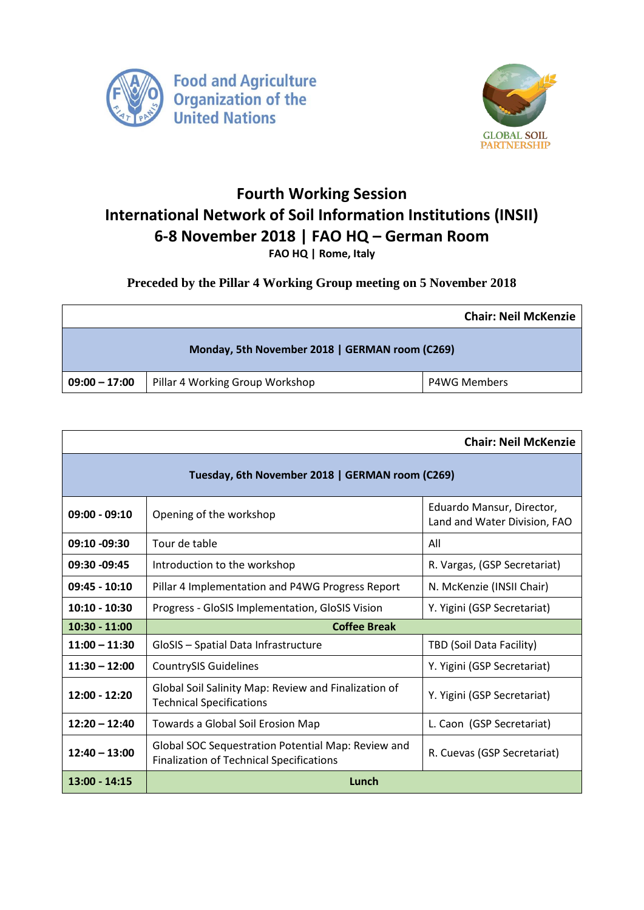



## **Fourth Working Session International Network of Soil Information Institutions (INSII) 6-8 November 2018 | FAO HQ – German Room FAO HQ | Rome, Italy**

## **Preceded by the Pillar 4 Working Group meeting on 5 November 2018**

|                                                |                                 | <b>Chair: Neil McKenzie</b> |  |  |  |
|------------------------------------------------|---------------------------------|-----------------------------|--|--|--|
| Monday, 5th November 2018   GERMAN room (C269) |                                 |                             |  |  |  |
| $09:00 - 17:00$                                | Pillar 4 Working Group Workshop | <b>P4WG Members</b>         |  |  |  |

| <b>Chair: Neil McKenzie</b>                     |                                                                                                       |                                                           |  |  |
|-------------------------------------------------|-------------------------------------------------------------------------------------------------------|-----------------------------------------------------------|--|--|
| Tuesday, 6th November 2018   GERMAN room (C269) |                                                                                                       |                                                           |  |  |
| $09:00 - 09:10$                                 | Opening of the workshop                                                                               | Eduardo Mansur, Director,<br>Land and Water Division, FAO |  |  |
| 09:10 -09:30                                    | Tour de table                                                                                         | All                                                       |  |  |
| 09:30 -09:45                                    | Introduction to the workshop                                                                          | R. Vargas, (GSP Secretariat)                              |  |  |
| $09:45 - 10:10$                                 | Pillar 4 Implementation and P4WG Progress Report                                                      | N. McKenzie (INSII Chair)                                 |  |  |
| $10:10 - 10:30$                                 | Progress - GloSIS Implementation, GloSIS Vision                                                       | Y. Yigini (GSP Secretariat)                               |  |  |
| $10:30 - 11:00$                                 | <b>Coffee Break</b>                                                                                   |                                                           |  |  |
| $11:00 - 11:30$                                 | GloSIS - Spatial Data Infrastructure                                                                  | TBD (Soil Data Facility)                                  |  |  |
| $11:30 - 12:00$                                 | <b>CountrySIS Guidelines</b>                                                                          | Y. Yigini (GSP Secretariat)                               |  |  |
| 12:00 - 12:20                                   | Global Soil Salinity Map: Review and Finalization of<br><b>Technical Specifications</b>               | Y. Yigini (GSP Secretariat)                               |  |  |
| $12:20 - 12:40$                                 | Towards a Global Soil Erosion Map                                                                     | L. Caon (GSP Secretariat)                                 |  |  |
| $12:40 - 13:00$                                 | Global SOC Sequestration Potential Map: Review and<br><b>Finalization of Technical Specifications</b> | R. Cuevas (GSP Secretariat)                               |  |  |
| $13:00 - 14:15$                                 | Lunch                                                                                                 |                                                           |  |  |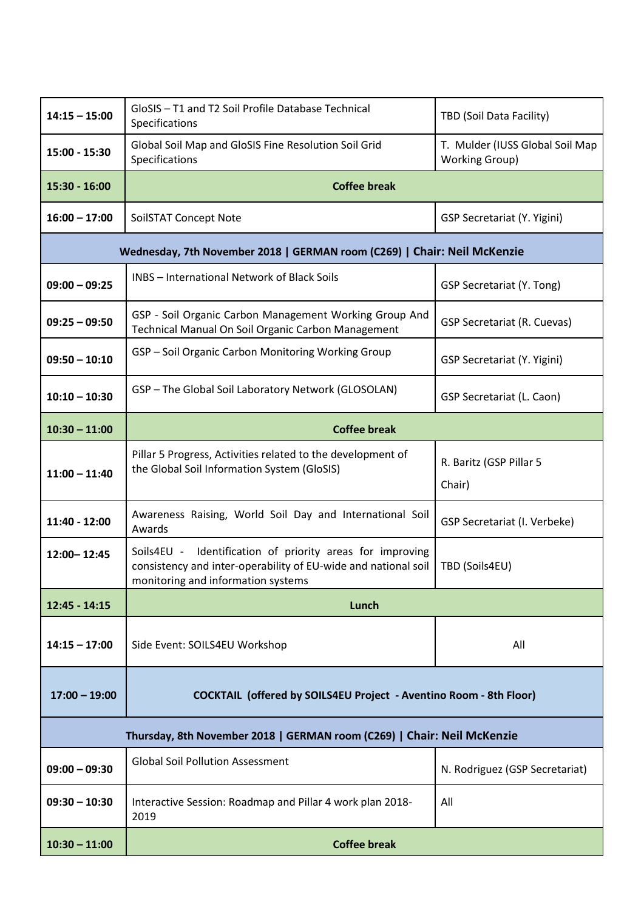| $14:15 - 15:00$                                                          | GloSIS - T1 and T2 Soil Profile Database Technical<br>Specifications                                                                                                 | TBD (Soil Data Facility)                                 |  |  |
|--------------------------------------------------------------------------|----------------------------------------------------------------------------------------------------------------------------------------------------------------------|----------------------------------------------------------|--|--|
| 15:00 - 15:30                                                            | Global Soil Map and GloSIS Fine Resolution Soil Grid<br>Specifications                                                                                               | T. Mulder (IUSS Global Soil Map<br><b>Working Group)</b> |  |  |
| 15:30 - 16:00                                                            | <b>Coffee break</b>                                                                                                                                                  |                                                          |  |  |
| $16:00 - 17:00$                                                          | SoilSTAT Concept Note                                                                                                                                                | <b>GSP Secretariat (Y. Yigini)</b>                       |  |  |
| Wednesday, 7th November 2018   GERMAN room (C269)   Chair: Neil McKenzie |                                                                                                                                                                      |                                                          |  |  |
| $09:00 - 09:25$                                                          | <b>INBS</b> - International Network of Black Soils                                                                                                                   | GSP Secretariat (Y. Tong)                                |  |  |
| $09:25 - 09:50$                                                          | GSP - Soil Organic Carbon Management Working Group And<br>Technical Manual On Soil Organic Carbon Management                                                         | <b>GSP Secretariat (R. Cuevas)</b>                       |  |  |
| $09:50 - 10:10$                                                          | GSP - Soil Organic Carbon Monitoring Working Group                                                                                                                   | <b>GSP Secretariat (Y. Yigini)</b>                       |  |  |
| $10:10 - 10:30$                                                          | GSP - The Global Soil Laboratory Network (GLOSOLAN)                                                                                                                  | <b>GSP Secretariat (L. Caon)</b>                         |  |  |
| $10:30 - 11:00$                                                          | <b>Coffee break</b>                                                                                                                                                  |                                                          |  |  |
| $11:00 - 11:40$                                                          | Pillar 5 Progress, Activities related to the development of<br>the Global Soil Information System (GloSIS)                                                           | R. Baritz (GSP Pillar 5<br>Chair)                        |  |  |
| 11:40 - 12:00                                                            | Awareness Raising, World Soil Day and International Soil<br>Awards                                                                                                   | GSP Secretariat (I. Verbeke)                             |  |  |
| 12:00 - 12:45                                                            | Identification of priority areas for improving<br>Soils4EU -<br>consistency and inter-operability of EU-wide and national soil<br>monitoring and information systems | TBD (Soils4EU)                                           |  |  |
| $12:45 - 14:15$                                                          | Lunch                                                                                                                                                                |                                                          |  |  |
| $14:15 - 17:00$                                                          | Side Event: SOILS4EU Workshop                                                                                                                                        | All                                                      |  |  |
| $17:00 - 19:00$                                                          | <b>COCKTAIL (offered by SOILS4EU Project - Aventino Room - 8th Floor)</b>                                                                                            |                                                          |  |  |
| Thursday, 8th November 2018   GERMAN room (C269)   Chair: Neil McKenzie  |                                                                                                                                                                      |                                                          |  |  |
| $09:00 - 09:30$                                                          | <b>Global Soil Pollution Assessment</b>                                                                                                                              | N. Rodriguez (GSP Secretariat)                           |  |  |
| $09:30 - 10:30$                                                          | Interactive Session: Roadmap and Pillar 4 work plan 2018-<br>2019                                                                                                    | All                                                      |  |  |
| $10:30 - 11:00$                                                          | <b>Coffee break</b>                                                                                                                                                  |                                                          |  |  |